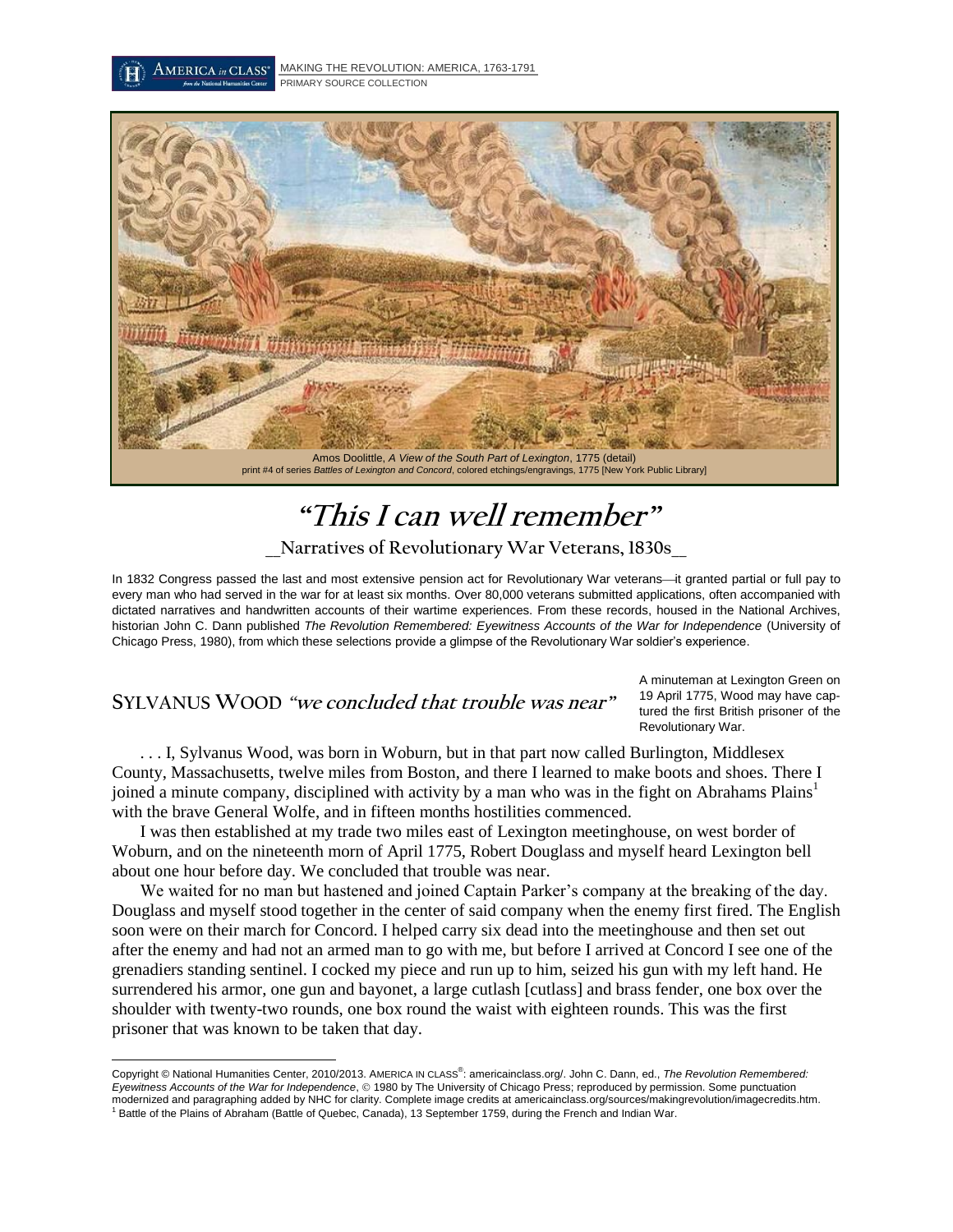[MAKING THE REVOLUTION: AMERICA, 1763-1791](http://americainclass.org/sources/makingrevolution/)  $\operatorname{AMERICA}$  in  $\operatorname{CLASS}^*$ PRIMARY SOURCE COLLECTION



## **"This I can well remember"**

**\_\_Narratives of Revolutionary War Veterans, 1830s\_\_**

In 1832 Congress passed the last and most extensive pension act for Revolutionary War veterans—it granted partial or full pay to every man who had served in the war for at least six months. Over 80,000 veterans submitted applications, often accompanied with dictated narratives and handwritten accounts of their wartime experiences. From these records, housed in the National Archives, historian John C. Dann published *The Revolution Remembered: Eyewitness Accounts of the War for Independence* (University of Chicago Press, 1980), from which these selections provide a glimpse of the Revolutionary War soldier's experience.

# **SYLVANUS WOOD "we concluded that trouble was near"**

l

A minuteman at Lexington Green on 19 April 1775, Wood may have captured the first British prisoner of the Revolutionary War.

. . . I, Sylvanus Wood, was born in Woburn, but in that part now called Burlington, Middlesex County, Massachusetts, twelve miles from Boston, and there I learned to make boots and shoes. There I joined a minute company, disciplined with activity by a man who was in the fight on Abrahams Plains<sup>1</sup> with the brave General Wolfe, and in fifteen months hostilities commenced.

I was then established at my trade two miles east of Lexington meetinghouse, on west border of Woburn, and on the nineteenth morn of April 1775, Robert Douglass and myself heard Lexington bell about one hour before day. We concluded that trouble was near.

We waited for no man but hastened and joined Captain Parker's company at the breaking of the day. Douglass and myself stood together in the center of said company when the enemy first fired. The English soon were on their march for Concord. I helped carry six dead into the meetinghouse and then set out after the enemy and had not an armed man to go with me, but before I arrived at Concord I see one of the grenadiers standing sentinel. I cocked my piece and run up to him, seized his gun with my left hand. He surrendered his armor, one gun and bayonet, a large cutlash [cutlass] and brass fender, one box over the shoulder with twenty-two rounds, one box round the waist with eighteen rounds. This was the first prisoner that was known to be taken that day.

Copyright © National Humanities Center, 2010/2013. AMERICA IN CLASS<sup>®</sup>: americainclass.org/. John C. Dann, ed., The Revolution Remembered: *Eyewitness Accounts of the War for Independence*, 1980 by The University of Chicago Press; reproduced by permission. Some punctuation modernized and paragraphing added by NHC for clarity. Complete image credits at americainclass.org/sources/makingrevolution/imagecredits.htm. <sup>1</sup> Battle of the Plains of Abraham (Battle of Quebec, Canada), 13 September 1759, during the French and Indian War.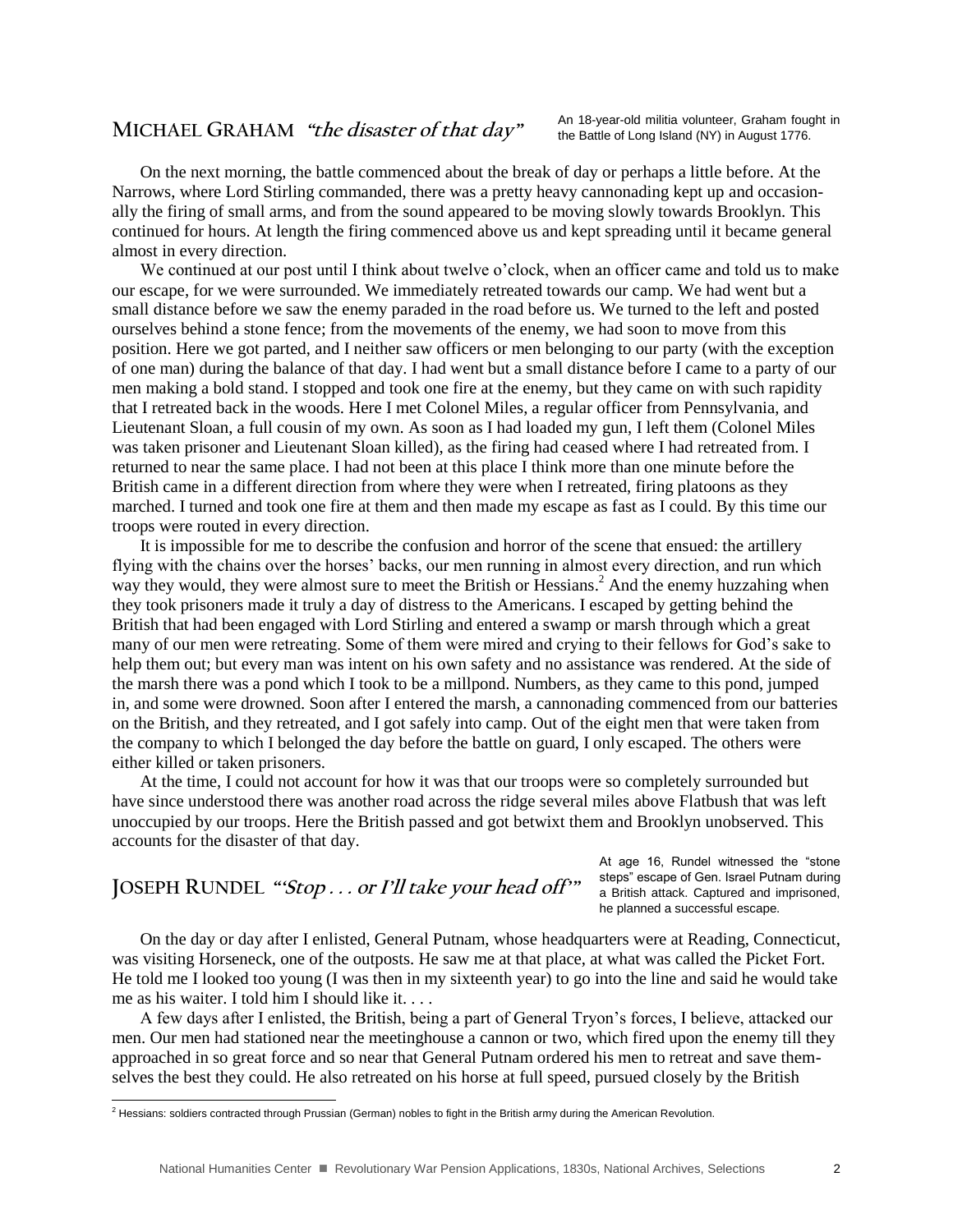### **MICHAEL GRAHAM "the disaster of that day"**

On the next morning, the battle commenced about the break of day or perhaps a little before. At the Narrows, where Lord Stirling commanded, there was a pretty heavy cannonading kept up and occasionally the firing of small arms, and from the sound appeared to be moving slowly towards Brooklyn. This continued for hours. At length the firing commenced above us and kept spreading until it became general almost in every direction.

We continued at our post until I think about twelve o'clock, when an officer came and told us to make our escape, for we were surrounded. We immediately retreated towards our camp. We had went but a small distance before we saw the enemy paraded in the road before us. We turned to the left and posted ourselves behind a stone fence; from the movements of the enemy, we had soon to move from this position. Here we got parted, and I neither saw officers or men belonging to our party (with the exception of one man) during the balance of that day. I had went but a small distance before I came to a party of our men making a bold stand. I stopped and took one fire at the enemy, but they came on with such rapidity that I retreated back in the woods. Here I met Colonel Miles, a regular officer from Pennsylvania, and Lieutenant Sloan, a full cousin of my own. As soon as I had loaded my gun, I left them (Colonel Miles was taken prisoner and Lieutenant Sloan killed), as the firing had ceased where I had retreated from. I returned to near the same place. I had not been at this place I think more than one minute before the British came in a different direction from where they were when I retreated, firing platoons as they marched. I turned and took one fire at them and then made my escape as fast as I could. By this time our troops were routed in every direction.

It is impossible for me to describe the confusion and horror of the scene that ensued: the artillery flying with the chains over the horses' backs, our men running in almost every direction, and run which way they would, they were almost sure to meet the British or Hessians. <sup>2</sup> And the enemy huzzahing when they took prisoners made it truly a day of distress to the Americans. I escaped by getting behind the British that had been engaged with Lord Stirling and entered a swamp or marsh through which a great many of our men were retreating. Some of them were mired and crying to their fellows for God's sake to help them out; but every man was intent on his own safety and no assistance was rendered. At the side of the marsh there was a pond which I took to be a millpond. Numbers, as they came to this pond, jumped in, and some were drowned. Soon after I entered the marsh, a cannonading commenced from our batteries on the British, and they retreated, and I got safely into camp. Out of the eight men that were taken from the company to which I belonged the day before the battle on guard, I only escaped. The others were either killed or taken prisoners.

At the time, I could not account for how it was that our troops were so completely surrounded but have since understood there was another road across the ridge several miles above Flatbush that was left unoccupied by our troops. Here the British passed and got betwixt them and Brooklyn unobserved. This accounts for the disaster of that day.

### **JOSEPH RUNDEL "'Stop . . . or I'll take your head off'"**

 $\overline{a}$ 

At age 16, Rundel witnessed the "stone steps" escape of Gen. Israel Putnam during a British attack. Captured and imprisoned, he planned a successful escape.

On the day or day after I enlisted, General Putnam, whose headquarters were at Reading, Connecticut, was visiting Horseneck, one of the outposts. He saw me at that place, at what was called the Picket Fort. He told me I looked too young (I was then in my sixteenth year) to go into the line and said he would take me as his waiter. I told him I should like it. . . .

A few days after I enlisted, the British, being a part of General Tryon's forces, I believe, attacked our men. Our men had stationed near the meetinghouse a cannon or two, which fired upon the enemy till they approached in so great force and so near that General Putnam ordered his men to retreat and save themselves the best they could. He also retreated on his horse at full speed, pursued closely by the British

 $^2$  Hessians: soldiers contracted through Prussian (German) nobles to fight in the British army during the American Revolution.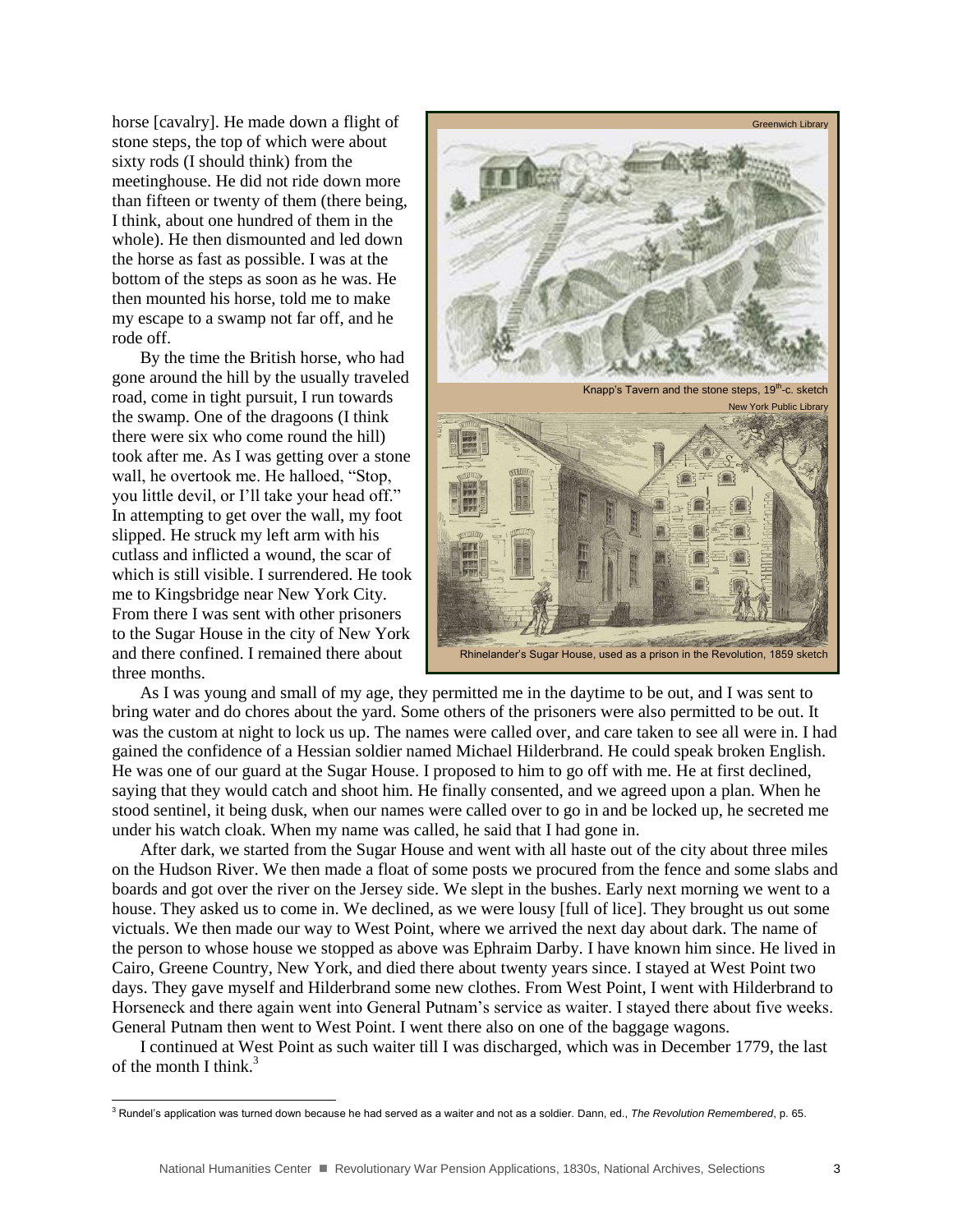horse [cavalry]. He made down a flight of stone steps, the top of which were about sixty rods (I should think) from the meetinghouse. He did not ride down more than fifteen or twenty of them (there being, I think, about one hundred of them in the whole). He then dismounted and led down the horse as fast as possible. I was at the bottom of the steps as soon as he was. He then mounted his horse, told me to make my escape to a swamp not far off, and he rode off.

By the time the British horse, who had gone around the hill by the usually traveled road, come in tight pursuit, I run towards the swamp. One of the dragoons (I think there were six who come round the hill) took after me. As I was getting over a stone wall, he overtook me. He halloed, "Stop, you little devil, or I'll take your head off." In attempting to get over the wall, my foot slipped. He struck my left arm with his cutlass and inflicted a wound, the scar of which is still visible. I surrendered. He took me to Kingsbridge near New York City. From there I was sent with other prisoners to the Sugar House in the city of New York and there confined. I remained there about three months.

 $\overline{a}$ 



As I was young and small of my age, they permitted me in the daytime to be out, and I was sent to bring water and do chores about the yard. Some others of the prisoners were also permitted to be out. It was the custom at night to lock us up. The names were called over, and care taken to see all were in. I had gained the confidence of a Hessian soldier named Michael Hilderbrand. He could speak broken English. He was one of our guard at the Sugar House. I proposed to him to go off with me. He at first declined, saying that they would catch and shoot him. He finally consented, and we agreed upon a plan. When he stood sentinel, it being dusk, when our names were called over to go in and be locked up, he secreted me under his watch cloak. When my name was called, he said that I had gone in.

After dark, we started from the Sugar House and went with all haste out of the city about three miles on the Hudson River. We then made a float of some posts we procured from the fence and some slabs and boards and got over the river on the Jersey side. We slept in the bushes. Early next morning we went to a house. They asked us to come in. We declined, as we were lousy [full of lice]. They brought us out some victuals. We then made our way to West Point, where we arrived the next day about dark. The name of the person to whose house we stopped as above was Ephraim Darby. I have known him since. He lived in Cairo, Greene Country, New York, and died there about twenty years since. I stayed at West Point two days. They gave myself and Hilderbrand some new clothes. From West Point, I went with Hilderbrand to Horseneck and there again went into General Putnam's service as waiter. I stayed there about five weeks. General Putnam then went to West Point. I went there also on one of the baggage wagons.

I continued at West Point as such waiter till I was discharged, which was in December 1779, the last of the month I think. $3$ 

<sup>3</sup> Rundel's application was turned down because he had served as a waiter and not as a soldier. Dann, ed., *The Revolution Remembered*, p. 65.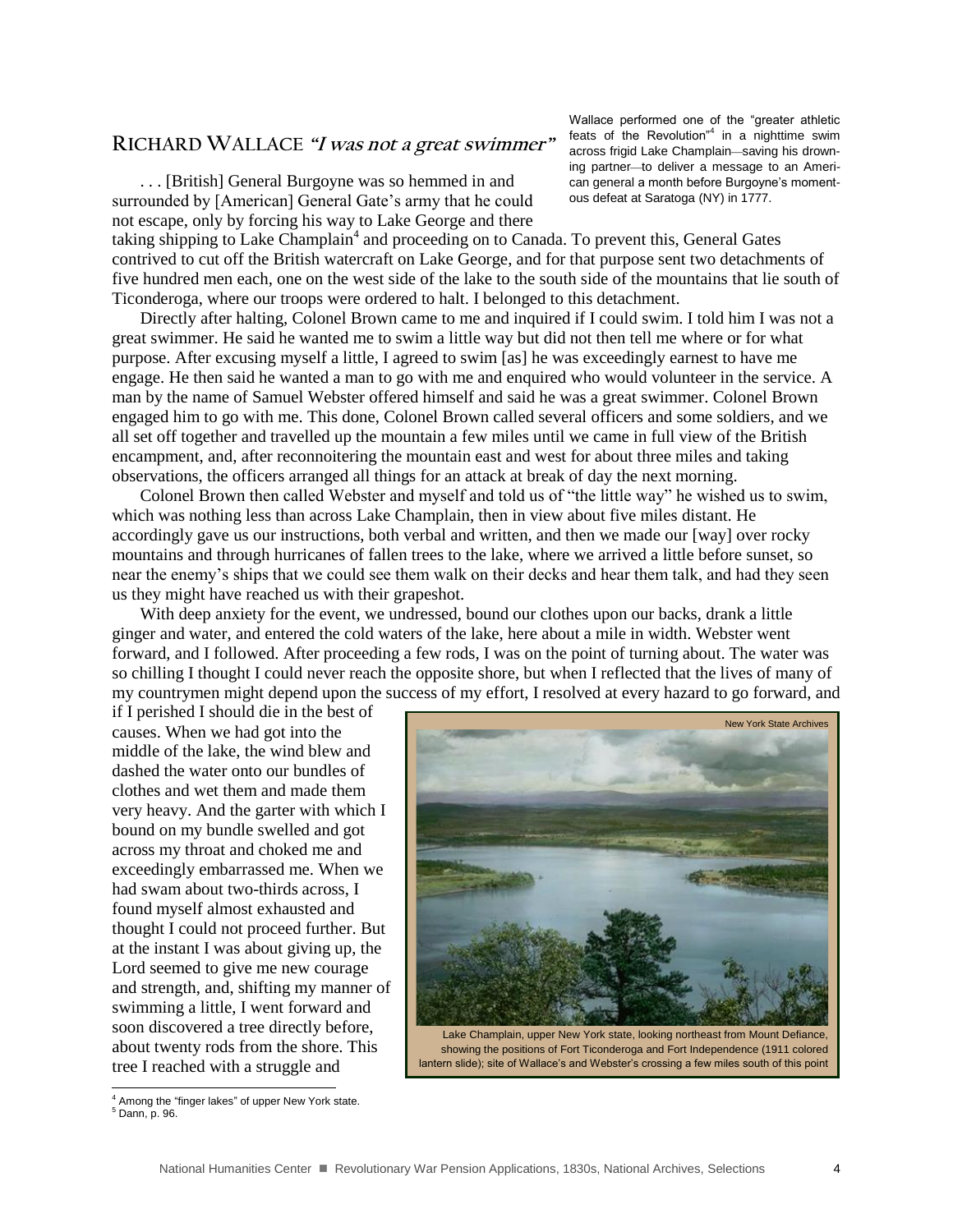#### **RICHARD WALLACE "I was not a great swimmer"**

. . . [British] General Burgoyne was so hemmed in and surrounded by [American] General Gate's army that he could not escape, only by forcing his way to Lake George and there

taking shipping to Lake Champlain<sup>4</sup> and proceeding on to Canada. To prevent this, General Gates contrived to cut off the British watercraft on Lake George, and for that purpose sent two detachments of five hundred men each, one on the west side of the lake to the south side of the mountains that lie south of Ticonderoga, where our troops were ordered to halt. I belonged to this detachment. <sup>5</sup>

Directly after halting, Colonel Brown came to me and inquired if I could swim. I told him I was not a great swimmer. He said he wanted me to swim a little way but did not then tell me where or for what purpose. After excusing myself a little, I agreed to swim [as] he was exceedingly earnest to have me engage. He then said he wanted a man to go with me and enquired who would volunteer in the service. A man by the name of Samuel Webster offered himself and said he was a great swimmer. Colonel Brown engaged him to go with me. This done, Colonel Brown called several officers and some soldiers, and we all set off together and travelled up the mountain a few miles until we came in full view of the British encampment, and, after reconnoitering the mountain east and west for about three miles and taking observations, the officers arranged all things for an attack at break of day the next morning.

Colonel Brown then called Webster and myself and told us of "the little way" he wished us to swim, which was nothing less than across Lake Champlain, then in view about five miles distant. He accordingly gave us our instructions, both verbal and written, and then we made our [way] over rocky mountains and through hurricanes of fallen trees to the lake, where we arrived a little before sunset, so near the enemy's ships that we could see them walk on their decks and hear them talk, and had they seen us they might have reached us with their grapeshot.

With deep anxiety for the event, we undressed, bound our clothes upon our backs, drank a little ginger and water, and entered the cold waters of the lake, here about a mile in width. Webster went forward, and I followed. After proceeding a few rods, I was on the point of turning about. The water was so chilling I thought I could never reach the opposite shore, but when I reflected that the lives of many of my countrymen might depend upon the success of my effort, I resolved at every hazard to go forward, and

if I perished I should die in the best of causes. When we had got into the middle of the lake, the wind blew and dashed the water onto our bundles of clothes and wet them and made them very heavy. And the garter with which I bound on my bundle swelled and got across my throat and choked me and exceedingly embarrassed me. When we had swam about two-thirds across, I found myself almost exhausted and thought I could not proceed further. But at the instant I was about giving up, the Lord seemed to give me new courage and strength, and, shifting my manner of swimming a little, I went forward and soon discovered a tree directly before, about twenty rods from the shore. This tree I reached with a struggle and



showing the positions of Fort Ticonderoga and Fort Independence (1911 colored lantern slide); site of Wallace's and Webster's crossing a few miles south of this point

l

<sup>4</sup> Among the "finger lakes" of upper New York state.

 $5$  Dann, p. 96.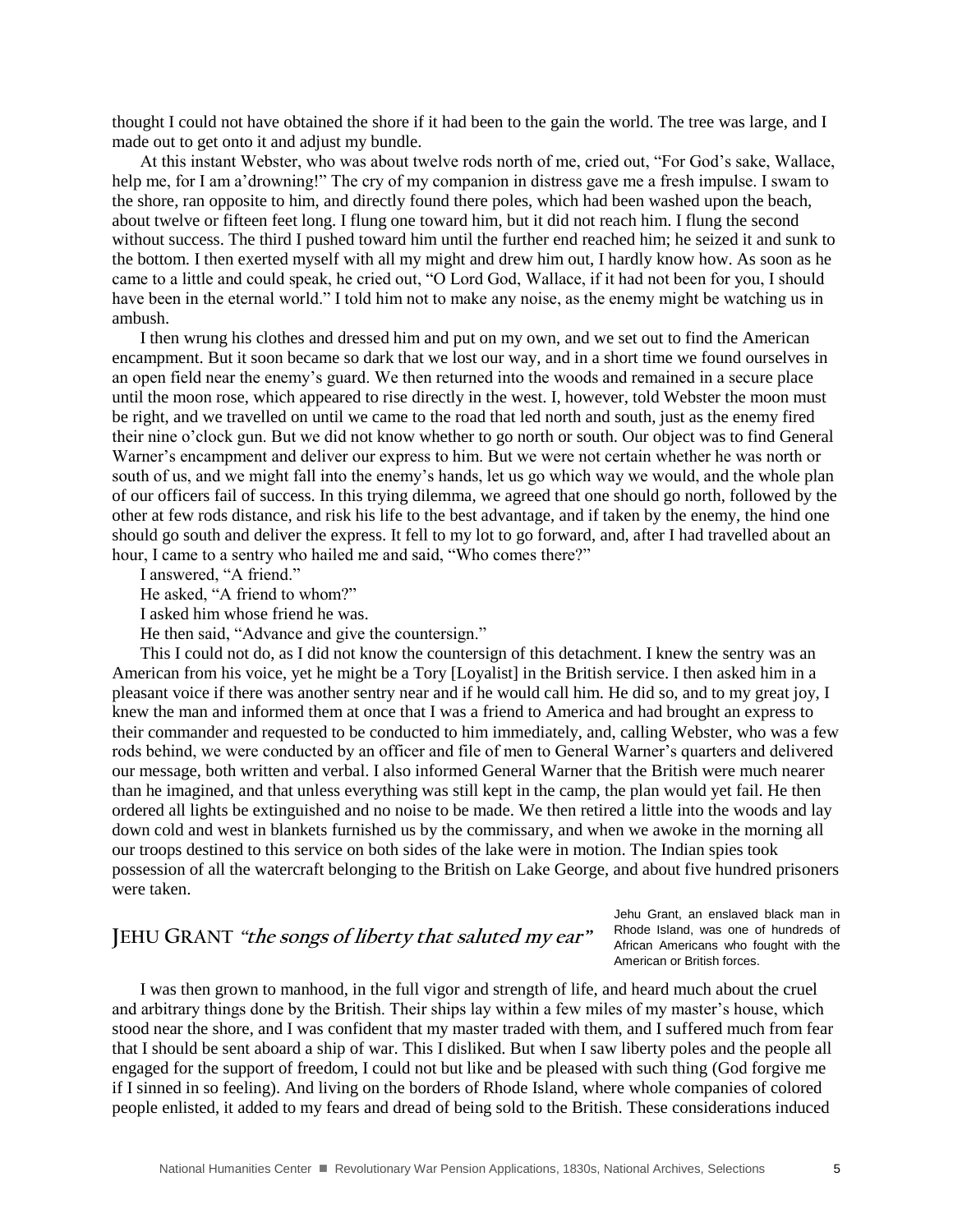thought I could not have obtained the shore if it had been to the gain the world. The tree was large, and I made out to get onto it and adjust my bundle.

At this instant Webster, who was about twelve rods north of me, cried out, "For God's sake, Wallace, help me, for I am a'drowning!" The cry of my companion in distress gave me a fresh impulse. I swam to the shore, ran opposite to him, and directly found there poles, which had been washed upon the beach, about twelve or fifteen feet long. I flung one toward him, but it did not reach him. I flung the second without success. The third I pushed toward him until the further end reached him; he seized it and sunk to the bottom. I then exerted myself with all my might and drew him out, I hardly know how. As soon as he came to a little and could speak, he cried out, "O Lord God, Wallace, if it had not been for you, I should have been in the eternal world." I told him not to make any noise, as the enemy might be watching us in ambush.

I then wrung his clothes and dressed him and put on my own, and we set out to find the American encampment. But it soon became so dark that we lost our way, and in a short time we found ourselves in an open field near the enemy's guard. We then returned into the woods and remained in a secure place until the moon rose, which appeared to rise directly in the west. I, however, told Webster the moon must be right, and we travelled on until we came to the road that led north and south, just as the enemy fired their nine o'clock gun. But we did not know whether to go north or south. Our object was to find General Warner's encampment and deliver our express to him. But we were not certain whether he was north or south of us, and we might fall into the enemy's hands, let us go which way we would, and the whole plan of our officers fail of success. In this trying dilemma, we agreed that one should go north, followed by the other at few rods distance, and risk his life to the best advantage, and if taken by the enemy, the hind one should go south and deliver the express. It fell to my lot to go forward, and, after I had travelled about an hour, I came to a sentry who hailed me and said, "Who comes there?"

I answered, "A friend."

He asked, "A friend to whom?"

I asked him whose friend he was.

He then said, "Advance and give the countersign."

This I could not do, as I did not know the countersign of this detachment. I knew the sentry was an American from his voice, yet he might be a Tory [Loyalist] in the British service. I then asked him in a pleasant voice if there was another sentry near and if he would call him. He did so, and to my great joy, I knew the man and informed them at once that I was a friend to America and had brought an express to their commander and requested to be conducted to him immediately, and, calling Webster, who was a few rods behind, we were conducted by an officer and file of men to General Warner's quarters and delivered our message, both written and verbal. I also informed General Warner that the British were much nearer than he imagined, and that unless everything was still kept in the camp, the plan would yet fail. He then ordered all lights be extinguished and no noise to be made. We then retired a little into the woods and lay down cold and west in blankets furnished us by the commissary, and when we awoke in the morning all our troops destined to this service on both sides of the lake were in motion. The Indian spies took possession of all the watercraft belonging to the British on Lake George, and about five hundred prisoners were taken.

### **JEHU GRANT "the songs of liberty that saluted my ear"**

Jehu Grant, an enslaved black man in Rhode Island, was one of hundreds of African Americans who fought with the American or British forces.

I was then grown to manhood, in the full vigor and strength of life, and heard much about the cruel and arbitrary things done by the British. Their ships lay within a few miles of my master's house, which stood near the shore, and I was confident that my master traded with them, and I suffered much from fear that I should be sent aboard a ship of war. This I disliked. But when I saw liberty poles and the people all engaged for the support of freedom, I could not but like and be pleased with such thing (God forgive me if I sinned in so feeling). And living on the borders of Rhode Island, where whole companies of colored people enlisted, it added to my fears and dread of being sold to the British. These considerations induced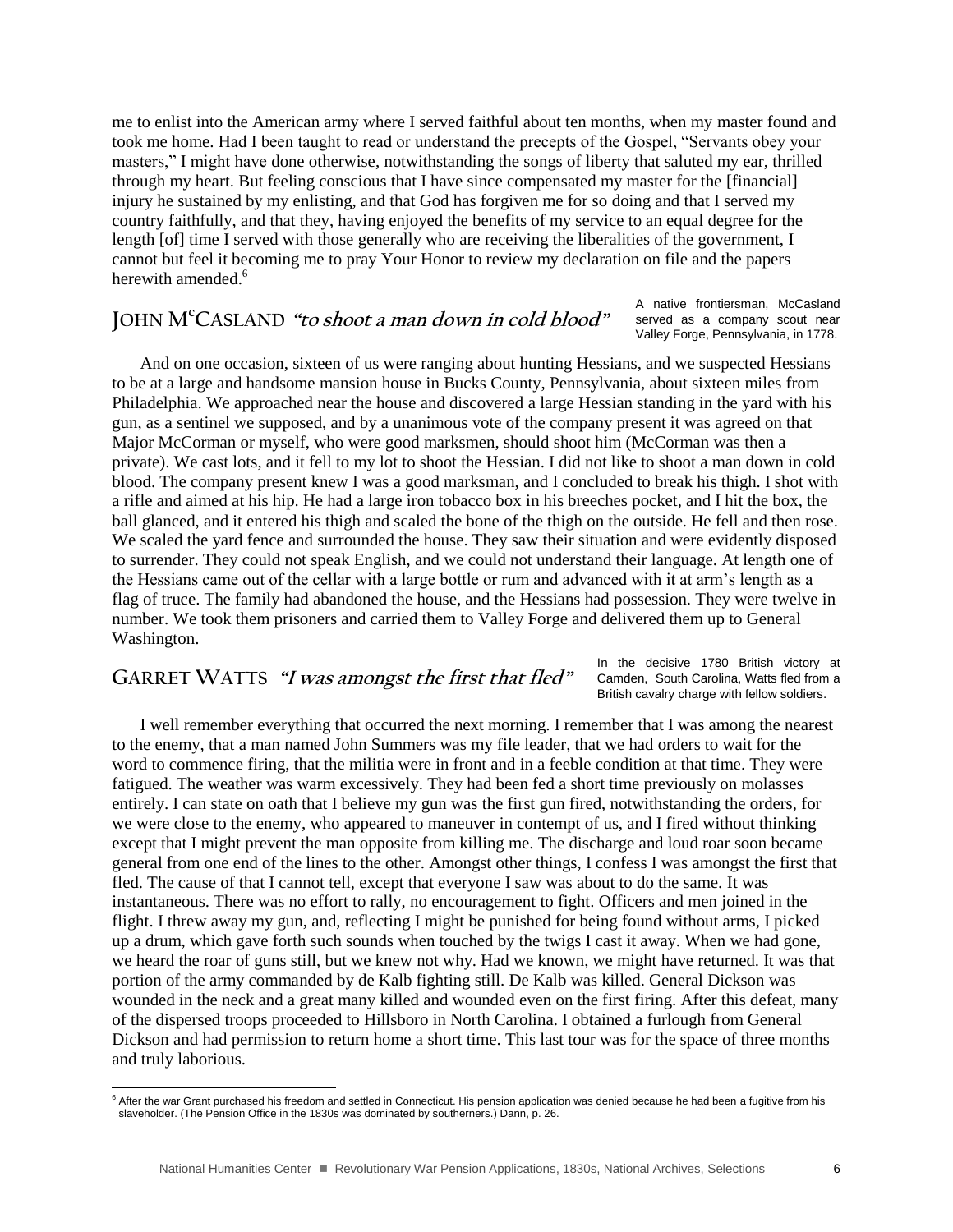me to enlist into the American army where I served faithful about ten months, when my master found and took me home. Had I been taught to read or understand the precepts of the Gospel, "Servants obey your masters," I might have done otherwise, notwithstanding the songs of liberty that saluted my ear, thrilled through my heart. But feeling conscious that I have since compensated my master for the [financial] injury he sustained by my enlisting, and that God has forgiven me for so doing and that I served my country faithfully, and that they, having enjoyed the benefits of my service to an equal degree for the length [of] time I served with those generally who are receiving the liberalities of the government, I cannot but feel it becoming me to pray Your Honor to review my declaration on file and the papers herewith amended.<sup>6</sup>

### **JOHN M<sup>c</sup>CASLAND "to shoot a man down in cold blood"**

A native frontiersman, McCasland served as a company scout near Valley Forge, Pennsylvania, in 1778.

And on one occasion, sixteen of us were ranging about hunting Hessians, and we suspected Hessians to be at a large and handsome mansion house in Bucks County, Pennsylvania, about sixteen miles from Philadelphia. We approached near the house and discovered a large Hessian standing in the yard with his gun, as a sentinel we supposed, and by a unanimous vote of the company present it was agreed on that Major McCorman or myself, who were good marksmen, should shoot him (McCorman was then a private). We cast lots, and it fell to my lot to shoot the Hessian. I did not like to shoot a man down in cold blood. The company present knew I was a good marksman, and I concluded to break his thigh. I shot with a rifle and aimed at his hip. He had a large iron tobacco box in his breeches pocket, and I hit the box, the ball glanced, and it entered his thigh and scaled the bone of the thigh on the outside. He fell and then rose. We scaled the yard fence and surrounded the house. They saw their situation and were evidently disposed to surrender. They could not speak English, and we could not understand their language. At length one of the Hessians came out of the cellar with a large bottle or rum and advanced with it at arm's length as a flag of truce. The family had abandoned the house, and the Hessians had possession. They were twelve in number. We took them prisoners and carried them to Valley Forge and delivered them up to General Washington.

### **GARRET WATTS "I was amongst the first that fled"**

l

In the decisive 1780 British victory at Camden, South Carolina, Watts fled from a British cavalry charge with fellow soldiers.

I well remember everything that occurred the next morning. I remember that I was among the nearest to the enemy, that a man named John Summers was my file leader, that we had orders to wait for the word to commence firing, that the militia were in front and in a feeble condition at that time. They were fatigued. The weather was warm excessively. They had been fed a short time previously on molasses entirely. I can state on oath that I believe my gun was the first gun fired, notwithstanding the orders, for we were close to the enemy, who appeared to maneuver in contempt of us, and I fired without thinking except that I might prevent the man opposite from killing me. The discharge and loud roar soon became general from one end of the lines to the other. Amongst other things, I confess I was amongst the first that fled. The cause of that I cannot tell, except that everyone I saw was about to do the same. It was instantaneous. There was no effort to rally, no encouragement to fight. Officers and men joined in the flight. I threw away my gun, and, reflecting I might be punished for being found without arms, I picked up a drum, which gave forth such sounds when touched by the twigs I cast it away. When we had gone, we heard the roar of guns still, but we knew not why. Had we known, we might have returned. It was that portion of the army commanded by de Kalb fighting still. De Kalb was killed. General Dickson was wounded in the neck and a great many killed and wounded even on the first firing. After this defeat, many of the dispersed troops proceeded to Hillsboro in North Carolina. I obtained a furlough from General Dickson and had permission to return home a short time. This last tour was for the space of three months and truly laborious.

 $6$  After the war Grant purchased his freedom and settled in Connecticut. His pension application was denied because he had been a fugitive from his slaveholder. (The Pension Office in the 1830s was dominated by southerners.) Dann, p. 26.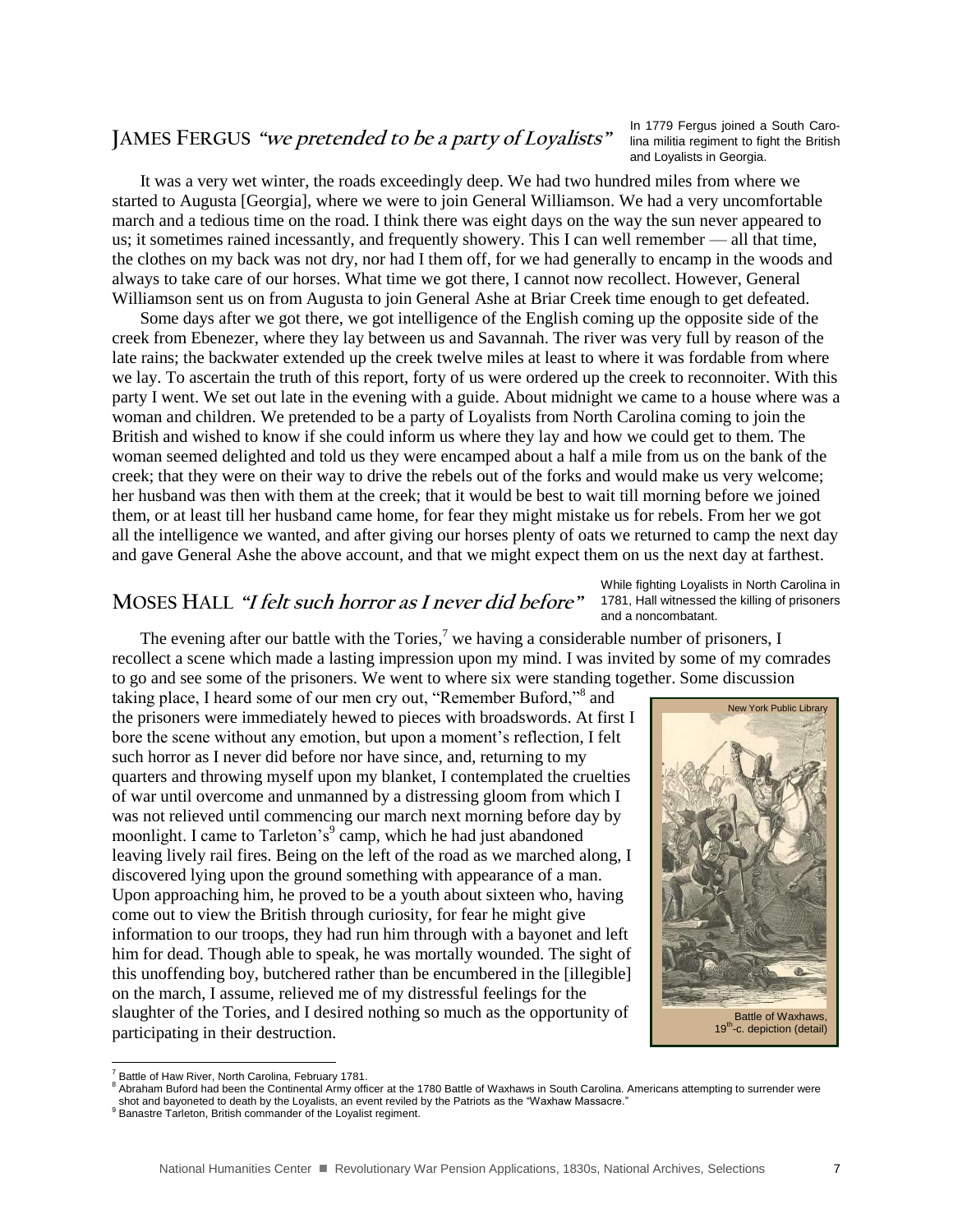### **JAMES FERGUS "we pretended to be a party of Loyalists"**

In 1779 Fergus joined a South Carolina militia regiment to fight the British and Loyalists in Georgia.

It was a very wet winter, the roads exceedingly deep. We had two hundred miles from where we started to Augusta [Georgia], where we were to join General Williamson. We had a very uncomfortable march and a tedious time on the road. I think there was eight days on the way the sun never appeared to us; it sometimes rained incessantly, and frequently showery. This I can well remember — all that time, the clothes on my back was not dry, nor had I them off, for we had generally to encamp in the woods and always to take care of our horses. What time we got there, I cannot now recollect. However, General Williamson sent us on from Augusta to join General Ashe at Briar Creek time enough to get defeated.

Some days after we got there, we got intelligence of the English coming up the opposite side of the creek from Ebenezer, where they lay between us and Savannah. The river was very full by reason of the late rains; the backwater extended up the creek twelve miles at least to where it was fordable from where we lay. To ascertain the truth of this report, forty of us were ordered up the creek to reconnoiter. With this party I went. We set out late in the evening with a guide. About midnight we came to a house where was a woman and children. We pretended to be a party of Loyalists from North Carolina coming to join the British and wished to know if she could inform us where they lay and how we could get to them. The woman seemed delighted and told us they were encamped about a half a mile from us on the bank of the creek; that they were on their way to drive the rebels out of the forks and would make us very welcome; her husband was then with them at the creek; that it would be best to wait till morning before we joined them, or at least till her husband came home, for fear they might mistake us for rebels. From her we got all the intelligence we wanted, and after giving our horses plenty of oats we returned to camp the next day and gave General Ashe the above account, and that we might expect them on us the next day at farthest.

### **MOSES HALL "I felt such horror as I never did before"** 1781, Hall witnessed the killing of prisoners

The evening after our battle with the Tories,<sup>7</sup> we having a considerable number of prisoners, I recollect a scene which made a lasting impression upon my mind. I was invited by some of my comrades to go and see some of the prisoners. We went to where six were standing together. Some discussion

taking place, I heard some of our men cry out, "Remember Buford,"<sup>8</sup> and the prisoners were immediately hewed to pieces with broadswords. At first I bore the scene without any emotion, but upon a moment's reflection, I felt such horror as I never did before nor have since, and, returning to my quarters and throwing myself upon my blanket, I contemplated the cruelties of war until overcome and unmanned by a distressing gloom from which I was not relieved until commencing our march next morning before day by moonlight. I came to Tarleton's<sup>9</sup> camp, which he had just abandoned leaving lively rail fires. Being on the left of the road as we marched along, I discovered lying upon the ground something with appearance of a man. Upon approaching him, he proved to be a youth about sixteen who, having come out to view the British through curiosity, for fear he might give information to our troops, they had run him through with a bayonet and left him for dead. Though able to speak, he was mortally wounded. The sight of this unoffending boy, butchered rather than be encumbered in the [illegible] on the march, I assume, relieved me of my distressful feelings for the slaughter of the Tories, and I desired nothing so much as the opportunity of participating in their destruction.



While fighting Loyalists in North Carolina in

and a noncombatant.

<sup>&</sup>lt;sup>7</sup> Battle of Haw River, North Carolina, February 1781.

<sup>8</sup> Abraham Buford had been the Continental Army officer at the 1780 Battle of Waxhaws in South Carolina. Americans attempting to surrender were shot and bayoneted to death by the Loyalists, an event reviled by the Patriots as the "Waxhaw Massacre."

**<sup>9</sup> Banastre Tarleton, British commander of the Loyalist regiment.**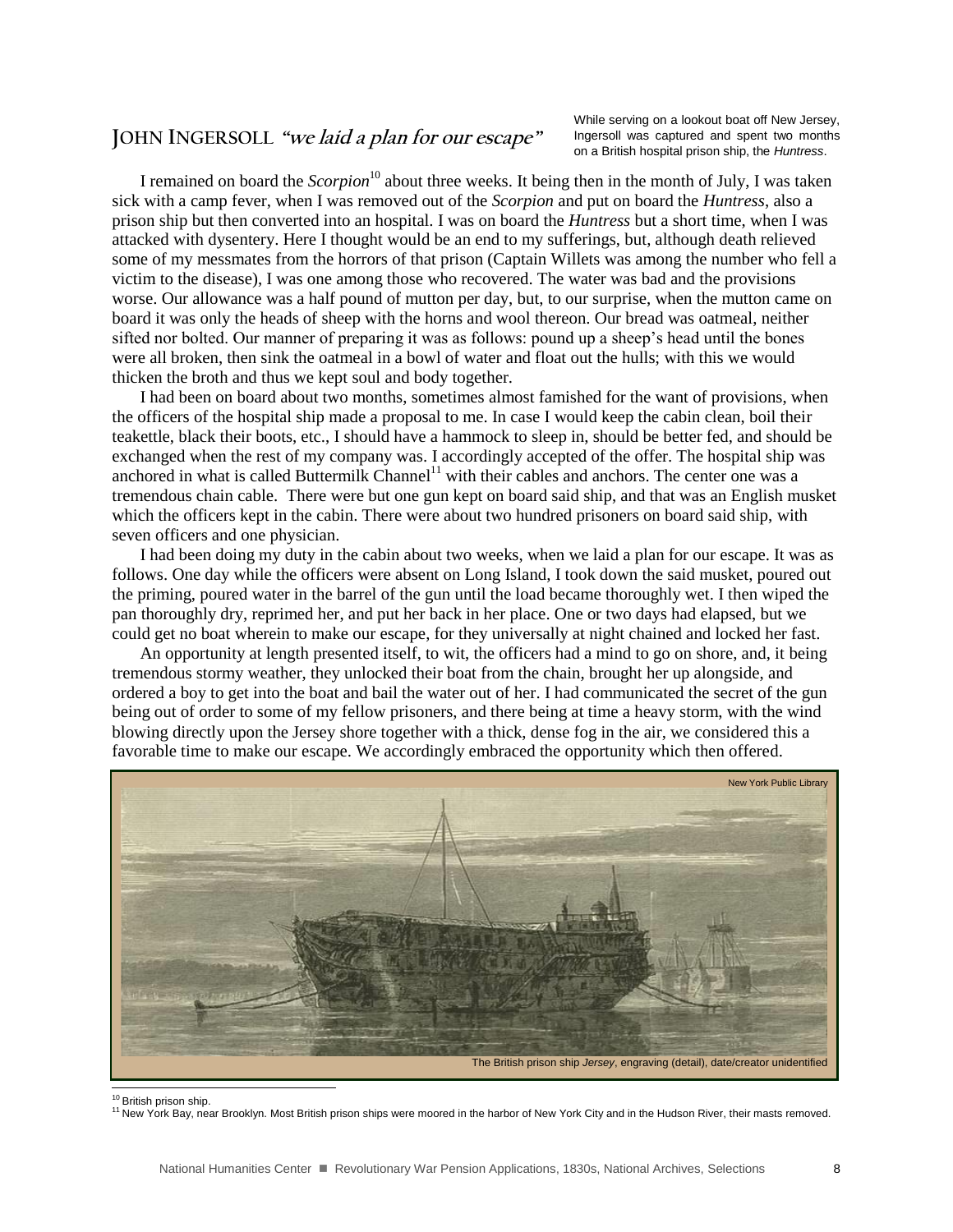### **JOHN INGERSOLL "we laid a plan for our escape"**

While serving on a lookout boat off New Jersey, Ingersoll was captured and spent two months on a British hospital prison ship, the *Huntress*.

I remained on board the *Scorpion*<sup>10</sup> about three weeks. It being then in the month of July, I was taken sick with a camp fever, when I was removed out of the *Scorpion* and put on board the *Huntress*, also a prison ship but then converted into an hospital. I was on board the *Huntress* but a short time, when I was attacked with dysentery. Here I thought would be an end to my sufferings, but, although death relieved some of my messmates from the horrors of that prison (Captain Willets was among the number who fell a victim to the disease), I was one among those who recovered. The water was bad and the provisions worse. Our allowance was a half pound of mutton per day, but, to our surprise, when the mutton came on board it was only the heads of sheep with the horns and wool thereon. Our bread was oatmeal, neither sifted nor bolted. Our manner of preparing it was as follows: pound up a sheep's head until the bones were all broken, then sink the oatmeal in a bowl of water and float out the hulls; with this we would thicken the broth and thus we kept soul and body together.

I had been on board about two months, sometimes almost famished for the want of provisions, when the officers of the hospital ship made a proposal to me. In case I would keep the cabin clean, boil their teakettle, black their boots, etc., I should have a hammock to sleep in, should be better fed, and should be exchanged when the rest of my company was. I accordingly accepted of the offer. The hospital ship was anchored in what is called Buttermilk Channel<sup>11</sup> with their cables and anchors. The center one was a tremendous chain cable. There were but one gun kept on board said ship, and that was an English musket which the officers kept in the cabin. There were about two hundred prisoners on board said ship, with seven officers and one physician.

I had been doing my duty in the cabin about two weeks, when we laid a plan for our escape. It was as follows. One day while the officers were absent on Long Island, I took down the said musket, poured out the priming, poured water in the barrel of the gun until the load became thoroughly wet. I then wiped the pan thoroughly dry, reprimed her, and put her back in her place. One or two days had elapsed, but we could get no boat wherein to make our escape, for they universally at night chained and locked her fast.

An opportunity at length presented itself, to wit, the officers had a mind to go on shore, and, it being tremendous stormy weather, they unlocked their boat from the chain, brought her up alongside, and ordered a boy to get into the boat and bail the water out of her. I had communicated the secret of the gun being out of order to some of my fellow prisoners, and there being at time a heavy storm, with the wind blowing directly upon the Jersey shore together with a thick, dense fog in the air, we considered this a favorable time to make our escape. We accordingly embraced the opportunity which then offered.



 $^{10}$  British prison ship.

<sup>11</sup> New York Bay, near Brooklyn. Most British prison ships were moored in the harbor of New York City and in the Hudson River, their masts removed.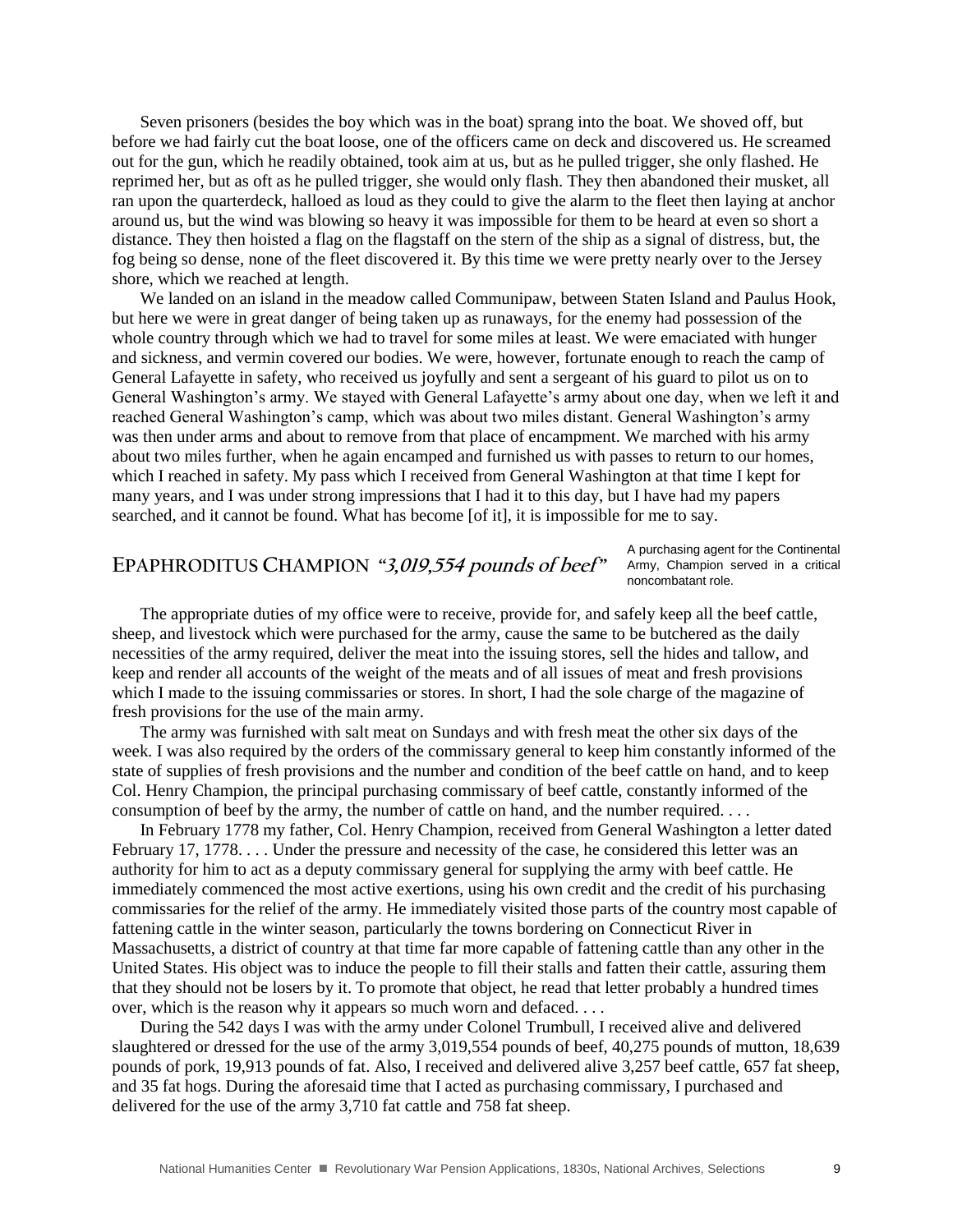Seven prisoners (besides the boy which was in the boat) sprang into the boat. We shoved off, but before we had fairly cut the boat loose, one of the officers came on deck and discovered us. He screamed out for the gun, which he readily obtained, took aim at us, but as he pulled trigger, she only flashed. He reprimed her, but as oft as he pulled trigger, she would only flash. They then abandoned their musket, all ran upon the quarterdeck, halloed as loud as they could to give the alarm to the fleet then laying at anchor around us, but the wind was blowing so heavy it was impossible for them to be heard at even so short a distance. They then hoisted a flag on the flagstaff on the stern of the ship as a signal of distress, but, the fog being so dense, none of the fleet discovered it. By this time we were pretty nearly over to the Jersey shore, which we reached at length.

We landed on an island in the meadow called Communipaw, between Staten Island and Paulus Hook, but here we were in great danger of being taken up as runaways, for the enemy had possession of the whole country through which we had to travel for some miles at least. We were emaciated with hunger and sickness, and vermin covered our bodies. We were, however, fortunate enough to reach the camp of General Lafayette in safety, who received us joyfully and sent a sergeant of his guard to pilot us on to General Washington's army. We stayed with General Lafayette's army about one day, when we left it and reached General Washington's camp, which was about two miles distant. General Washington's army was then under arms and about to remove from that place of encampment. We marched with his army about two miles further, when he again encamped and furnished us with passes to return to our homes, which I reached in safety. My pass which I received from General Washington at that time I kept for many years, and I was under strong impressions that I had it to this day, but I have had my papers searched, and it cannot be found. What has become [of it], it is impossible for me to say.

### **EPAPHRODITUS CHAMPION "3,019,554 pounds of beef"**

A purchasing agent for the Continental Army, Champion served in a critical noncombatant role.

The appropriate duties of my office were to receive, provide for, and safely keep all the beef cattle, sheep, and livestock which were purchased for the army, cause the same to be butchered as the daily necessities of the army required, deliver the meat into the issuing stores, sell the hides and tallow, and keep and render all accounts of the weight of the meats and of all issues of meat and fresh provisions which I made to the issuing commissaries or stores. In short, I had the sole charge of the magazine of fresh provisions for the use of the main army.

The army was furnished with salt meat on Sundays and with fresh meat the other six days of the week. I was also required by the orders of the commissary general to keep him constantly informed of the state of supplies of fresh provisions and the number and condition of the beef cattle on hand, and to keep Col. Henry Champion, the principal purchasing commissary of beef cattle, constantly informed of the consumption of beef by the army, the number of cattle on hand, and the number required. . . .

In February 1778 my father, Col. Henry Champion, received from General Washington a letter dated February 17, 1778. . . . Under the pressure and necessity of the case, he considered this letter was an authority for him to act as a deputy commissary general for supplying the army with beef cattle. He immediately commenced the most active exertions, using his own credit and the credit of his purchasing commissaries for the relief of the army. He immediately visited those parts of the country most capable of fattening cattle in the winter season, particularly the towns bordering on Connecticut River in Massachusetts, a district of country at that time far more capable of fattening cattle than any other in the United States. His object was to induce the people to fill their stalls and fatten their cattle, assuring them that they should not be losers by it. To promote that object, he read that letter probably a hundred times over, which is the reason why it appears so much worn and defaced. . . .

During the 542 days I was with the army under Colonel Trumbull, I received alive and delivered slaughtered or dressed for the use of the army 3,019,554 pounds of beef, 40,275 pounds of mutton, 18,639 pounds of pork, 19,913 pounds of fat. Also, I received and delivered alive 3,257 beef cattle, 657 fat sheep, and 35 fat hogs. During the aforesaid time that I acted as purchasing commissary, I purchased and delivered for the use of the army 3,710 fat cattle and 758 fat sheep.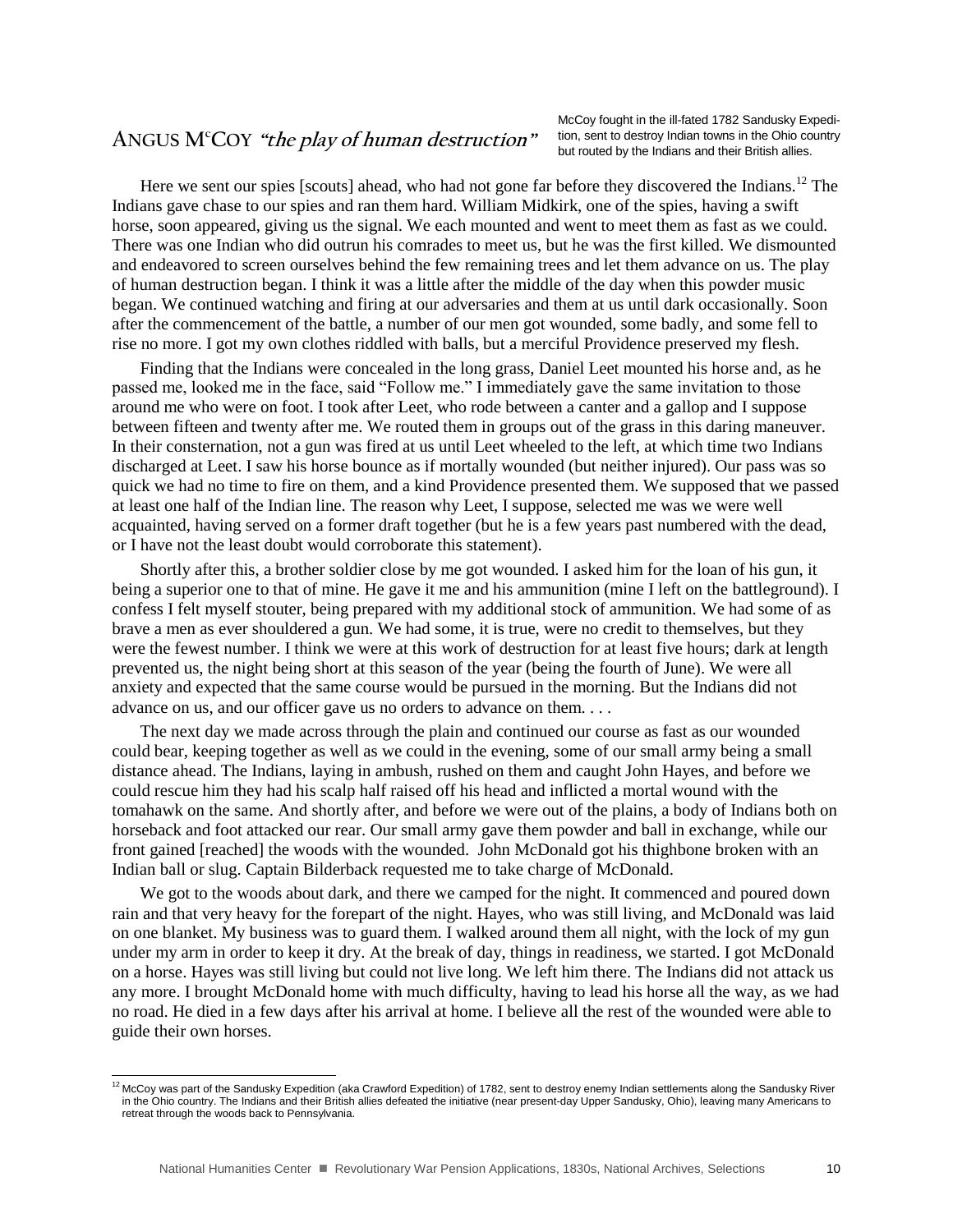### **ANGUS M<sup>c</sup>COY "the play of human destruction"**

McCoy fought in the ill-fated 1782 Sandusky Expedition, sent to destroy Indian towns in the Ohio country but routed by the Indians and their British allies.

Here we sent our spies [scouts] ahead, who had not gone far before they discovered the Indians.<sup>12</sup> The Indians gave chase to our spies and ran them hard. William Midkirk, one of the spies, having a swift horse, soon appeared, giving us the signal. We each mounted and went to meet them as fast as we could. There was one Indian who did outrun his comrades to meet us, but he was the first killed. We dismounted and endeavored to screen ourselves behind the few remaining trees and let them advance on us. The play of human destruction began. I think it was a little after the middle of the day when this powder music began. We continued watching and firing at our adversaries and them at us until dark occasionally. Soon after the commencement of the battle, a number of our men got wounded, some badly, and some fell to rise no more. I got my own clothes riddled with balls, but a merciful Providence preserved my flesh.

Finding that the Indians were concealed in the long grass, Daniel Leet mounted his horse and, as he passed me, looked me in the face, said "Follow me." I immediately gave the same invitation to those around me who were on foot. I took after Leet, who rode between a canter and a gallop and I suppose between fifteen and twenty after me. We routed them in groups out of the grass in this daring maneuver. In their consternation, not a gun was fired at us until Leet wheeled to the left, at which time two Indians discharged at Leet. I saw his horse bounce as if mortally wounded (but neither injured). Our pass was so quick we had no time to fire on them, and a kind Providence presented them. We supposed that we passed at least one half of the Indian line. The reason why Leet, I suppose, selected me was we were well acquainted, having served on a former draft together (but he is a few years past numbered with the dead, or I have not the least doubt would corroborate this statement).

Shortly after this, a brother soldier close by me got wounded. I asked him for the loan of his gun, it being a superior one to that of mine. He gave it me and his ammunition (mine I left on the battleground). I confess I felt myself stouter, being prepared with my additional stock of ammunition. We had some of as brave a men as ever shouldered a gun. We had some, it is true, were no credit to themselves, but they were the fewest number. I think we were at this work of destruction for at least five hours; dark at length prevented us, the night being short at this season of the year (being the fourth of June). We were all anxiety and expected that the same course would be pursued in the morning. But the Indians did not advance on us, and our officer gave us no orders to advance on them. . . .

The next day we made across through the plain and continued our course as fast as our wounded could bear, keeping together as well as we could in the evening, some of our small army being a small distance ahead. The Indians, laying in ambush, rushed on them and caught John Hayes, and before we could rescue him they had his scalp half raised off his head and inflicted a mortal wound with the tomahawk on the same. And shortly after, and before we were out of the plains, a body of Indians both on horseback and foot attacked our rear. Our small army gave them powder and ball in exchange, while our front gained [reached] the woods with the wounded. John McDonald got his thighbone broken with an Indian ball or slug. Captain Bilderback requested me to take charge of McDonald.

We got to the woods about dark, and there we camped for the night. It commenced and poured down rain and that very heavy for the forepart of the night. Hayes, who was still living, and McDonald was laid on one blanket. My business was to guard them. I walked around them all night, with the lock of my gun under my arm in order to keep it dry. At the break of day, things in readiness, we started. I got McDonald on a horse. Hayes was still living but could not live long. We left him there. The Indians did not attack us any more. I brought McDonald home with much difficulty, having to lead his horse all the way, as we had no road. He died in a few days after his arrival at home. I believe all the rest of the wounded were able to guide their own horses.

 $12$  McCoy was part of the Sandusky Expedition (aka Crawford Expedition) of 1782, sent to destroy enemy Indian settlements along the Sandusky River in the Ohio country. The Indians and their British allies defeated the initiative (near present-day Upper Sandusky, Ohio), leaving many Americans to retreat through the woods back to Pennsylvania.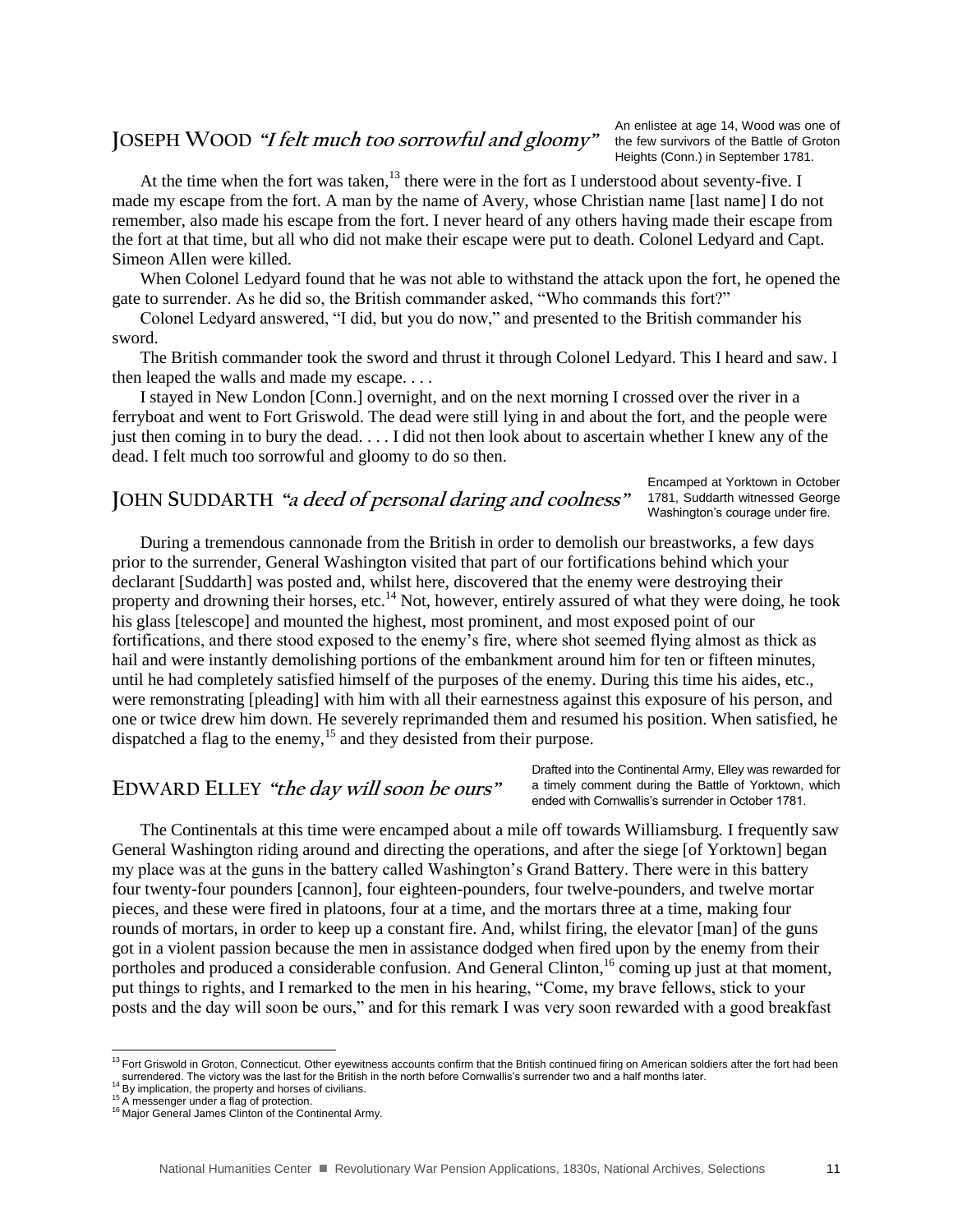### **JOSEPH WOOD "I felt much too sorrowful and gloomy"**

An enlistee at age 14, Wood was one of the few survivors of the Battle of Groton Heights (Conn.) in September 1781.

At the time when the fort was taken, $^{13}$  there were in the fort as I understood about seventy-five. I made my escape from the fort. A man by the name of Avery, whose Christian name [last name] I do not remember, also made his escape from the fort. I never heard of any others having made their escape from the fort at that time, but all who did not make their escape were put to death. Colonel Ledyard and Capt. Simeon Allen were killed.

When Colonel Ledyard found that he was not able to withstand the attack upon the fort, he opened the gate to surrender. As he did so, the British commander asked, "Who commands this fort?"

Colonel Ledyard answered, "I did, but you do now," and presented to the British commander his sword.

The British commander took the sword and thrust it through Colonel Ledyard. This I heard and saw. I then leaped the walls and made my escape. . . .

I stayed in New London [Conn.] overnight, and on the next morning I crossed over the river in a ferryboat and went to Fort Griswold. The dead were still lying in and about the fort, and the people were just then coming in to bury the dead. . . . I did not then look about to ascertain whether I knew any of the dead. I felt much too sorrowful and gloomy to do so then.

### **JOHN SUDDARTH "a deed of personal daring and coolness"**

Encamped at Yorktown in October 1781, Suddarth witnessed George Washington's courage under fire.

During a tremendous cannonade from the British in order to demolish our breastworks, a few days prior to the surrender, General Washington visited that part of our fortifications behind which your declarant [Suddarth] was posted and, whilst here, discovered that the enemy were destroying their property and drowning their horses, etc.<sup>14</sup> Not, however, entirely assured of what they were doing, he took his glass [telescope] and mounted the highest, most prominent, and most exposed point of our fortifications, and there stood exposed to the enemy's fire, where shot seemed flying almost as thick as hail and were instantly demolishing portions of the embankment around him for ten or fifteen minutes, until he had completely satisfied himself of the purposes of the enemy. During this time his aides, etc., were remonstrating [pleading] with him with all their earnestness against this exposure of his person, and one or twice drew him down. He severely reprimanded them and resumed his position. When satisfied, he dispatched a flag to the enemy, $15$  and they desisted from their purpose.

### **EDWARD ELLEY "the day will soon be ours"**

Drafted into the Continental Army, Elley was rewarded for a timely comment during the Battle of Yorktown, which ended with Cornwallis's surrender in October 1781.

The Continentals at this time were encamped about a mile off towards Williamsburg. I frequently saw General Washington riding around and directing the operations, and after the siege [of Yorktown] began my place was at the guns in the battery called Washington's Grand Battery. There were in this battery four twenty-four pounders [cannon], four eighteen-pounders, four twelve-pounders, and twelve mortar pieces, and these were fired in platoons, four at a time, and the mortars three at a time, making four rounds of mortars, in order to keep up a constant fire. And, whilst firing, the elevator [man] of the guns got in a violent passion because the men in assistance dodged when fired upon by the enemy from their portholes and produced a considerable confusion. And General Clinton,<sup>16</sup> coming up just at that moment, put things to rights, and I remarked to the men in his hearing, "Come, my brave fellows, stick to your posts and the day will soon be ours," and for this remark I was very soon rewarded with a good breakfast

<sup>&</sup>lt;sup>13</sup> Fort Griswold in Groton, Connecticut. Other eyewitness accounts confirm that the British continued firing on American soldiers after the fort had been surrendered. The victory was the last for the British in the north before Cornwallis's surrender two and a half months later.

<sup>&</sup>lt;sup>14</sup> By implication, the property and horses of civilians.

<sup>&</sup>lt;sup>15</sup> A messenger under a flag of protection.

<sup>&</sup>lt;sup>16</sup> Major General James Clinton of the Continental Army.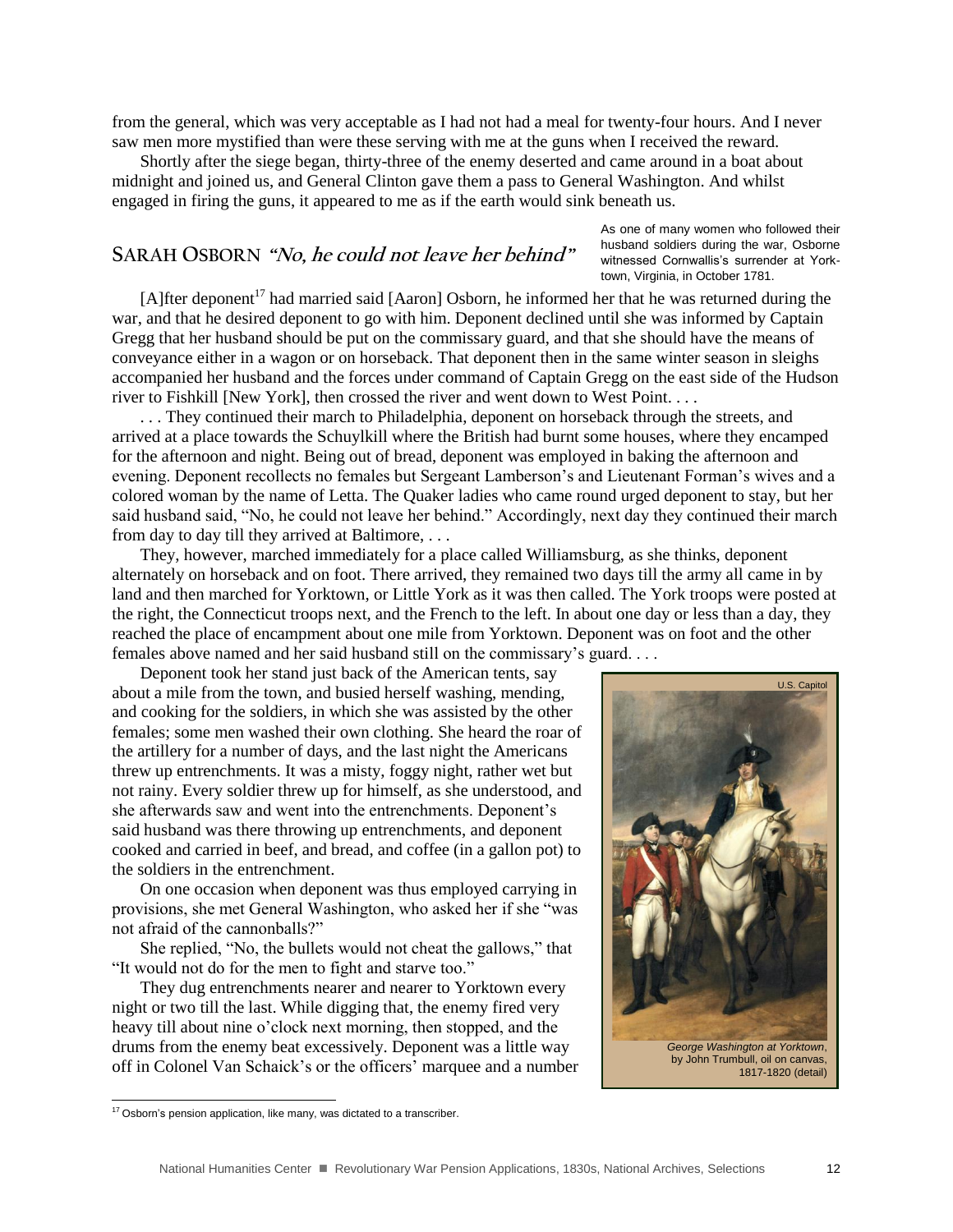from the general, which was very acceptable as I had not had a meal for twenty-four hours. And I never saw men more mystified than were these serving with me at the guns when I received the reward.

Shortly after the siege began, thirty-three of the enemy deserted and came around in a boat about midnight and joined us, and General Clinton gave them a pass to General Washington. And whilst engaged in firing the guns, it appeared to me as if the earth would sink beneath us.

### **SARAH OSBORN "No, he could not leave her behind"**

As one of many women who followed their husband soldiers during the war, Osborne witnessed Cornwallis's surrender at Yorktown, Virginia, in October 1781.

 $[A]$ fter deponent<sup>17</sup> had married said [Aaron] Osborn, he informed her that he was returned during the war, and that he desired deponent to go with him. Deponent declined until she was informed by Captain Gregg that her husband should be put on the commissary guard, and that she should have the means of conveyance either in a wagon or on horseback. That deponent then in the same winter season in sleighs accompanied her husband and the forces under command of Captain Gregg on the east side of the Hudson river to Fishkill [New York], then crossed the river and went down to West Point. . . .

. . . They continued their march to Philadelphia, deponent on horseback through the streets, and arrived at a place towards the Schuylkill where the British had burnt some houses, where they encamped for the afternoon and night. Being out of bread, deponent was employed in baking the afternoon and evening. Deponent recollects no females but Sergeant Lamberson's and Lieutenant Forman's wives and a colored woman by the name of Letta. The Quaker ladies who came round urged deponent to stay, but her said husband said, "No, he could not leave her behind." Accordingly, next day they continued their march from day to day till they arrived at Baltimore, . . .

They, however, marched immediately for a place called Williamsburg, as she thinks, deponent alternately on horseback and on foot. There arrived, they remained two days till the army all came in by land and then marched for Yorktown, or Little York as it was then called. The York troops were posted at the right, the Connecticut troops next, and the French to the left. In about one day or less than a day, they reached the place of encampment about one mile from Yorktown. Deponent was on foot and the other females above named and her said husband still on the commissary's guard. . . .

Deponent took her stand just back of the American tents, say about a mile from the town, and busied herself washing, mending, and cooking for the soldiers, in which she was assisted by the other females; some men washed their own clothing. She heard the roar of the artillery for a number of days, and the last night the Americans threw up entrenchments. It was a misty, foggy night, rather wet but not rainy. Every soldier threw up for himself, as she understood, and she afterwards saw and went into the entrenchments. Deponent's said husband was there throwing up entrenchments, and deponent cooked and carried in beef, and bread, and coffee (in a gallon pot) to the soldiers in the entrenchment.

On one occasion when deponent was thus employed carrying in provisions, she met General Washington, who asked her if she "was not afraid of the cannonballs?"

She replied, "No, the bullets would not cheat the gallows," that "It would not do for the men to fight and starve too."

They dug entrenchments nearer and nearer to Yorktown every night or two till the last. While digging that, the enemy fired very heavy till about nine o'clock next morning, then stopped, and the drums from the enemy beat excessively. Deponent was a little way off in Colonel Van Schaick's or the officers' marquee and a number



 $17$  Osborn's pension application, like many, was dictated to a transcriber.